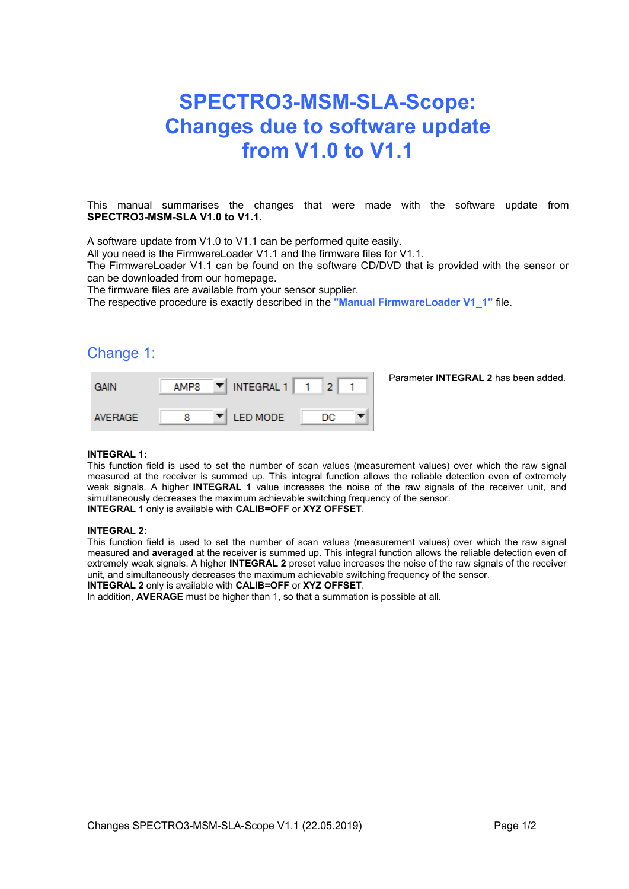# **SPECTRO3-MSM-SLA-Scope: Changes due to software update from V1.0 to V1.1**

This manual summarises the changes that were made with the software update from **SPECTRO3-MSM-SLA V1.0 to V1.1.**

A software update from V1.0 to V1.1 can be performed quite easily.

All you need is the FirmwareLoader V1.1 and the firmware files for V1.1.

The FirmwareLoader V1.1 can be found on the software CD/DVD that is provided with the sensor or can be downloaded from our homepage.

The firmware files are available from your sensor supplier.

The respective procedure is exactly described in the **"Manual FirmwareLoader V1\_1"** file.

### Change 1:

| <b>GAIN</b>    | AMP <sub>8</sub> | INTEGRAL 1<br>▼        |    | Parameter <b>INTEGRAL 2</b> has been added. |
|----------------|------------------|------------------------|----|---------------------------------------------|
| <b>AVERAGE</b> |                  | <b>I ED MODE</b><br>▼∥ | DC |                                             |

#### **INTEGRAL 1:**

This function field is used to set the number of scan values (measurement values) over which the raw signal measured at the receiver is summed up. This integral function allows the reliable detection even of extremely weak signals. A higher **INTEGRAL 1** value increases the noise of the raw signals of the receiver unit, and simultaneously decreases the maximum achievable switching frequency of the sensor. **INTEGRAL 1** only is available with **CALIB=OFF** or **XYZ OFFSET**.

#### **INTEGRAL 2:**

This function field is used to set the number of scan values (measurement values) over which the raw signal measured **and averaged** at the receiver is summed up. This integral function allows the reliable detection even of extremely weak signals. A higher **INTEGRAL 2** preset value increases the noise of the raw signals of the receiver unit, and simultaneously decreases the maximum achievable switching frequency of the sensor.

**INTEGRAL 2** only is available with **CALIB=OFF** or **XYZ OFFSET**.

In addition, **AVERAGE** must be higher than 1, so that a summation is possible at all.